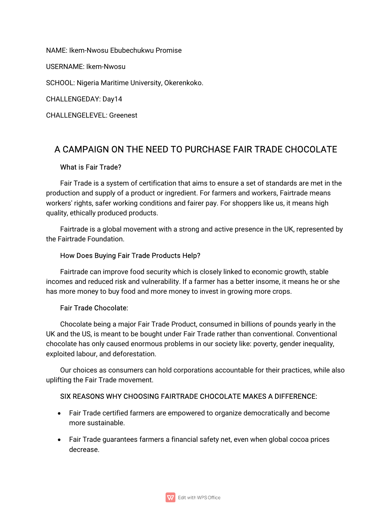NAME: Ikem-Nwosu Ebubechukwu Promise USERNAME: Ikem-Nwosu SCHOOL: Nigeria Maritime University, Okerenkoko. CHALLENGEDAY: Day14 CHALLENGELEVEL:Greenest

# A CAMPAIGN ON THE NEED TO PURCHASE FAIR TRADE CHOCOLATE

### What is Fair Trade?

Fair Trade is a system of certification that aims to ensure a set of standards are met in the production and supply of a product or ingredient. For farmers and workers, Fairtrade means workers' rights, safer working conditions and fairer pay. For shoppers like us, it means high quality, ethically produced products.

Fairtrade is a global movement with a strong and active presence in the UK, represented by the Fairtrade Foundation

## How Does Buying Fair Trade Products Help?

Fairtrade can improve food security which is closely linked to economic growth, stable incomes and reduced risk and vulnerability. If a farmer has a better insome, it means he or she has more money to buy food and more money to invest in growing more crops.

### Fair Trade Chocolate:

Chocolate being a major Fair Trade Product, consumed in billions of pounds yearly in the UK and the US, is meant to be bought under Fair Trade rather than conventional. Conventional chocolate has only caused enormous problems in our society like: poverty, gender inequality, exploited labour, and deforestation.

Our choices as consumers can hold corporations accountable for their practices, while also uplifting the Fair Trade movement.

## SIX REASONS WHY CHOOSING FAIRTRADE CHOCOLATE MAKES A DIFFERENCE:

- Fair Trade certified farmers are empowered to organize democratically and become more sustainable.
- Fair Trade guarantees farmers a financial safety net, even when global cocoa prices decrease.